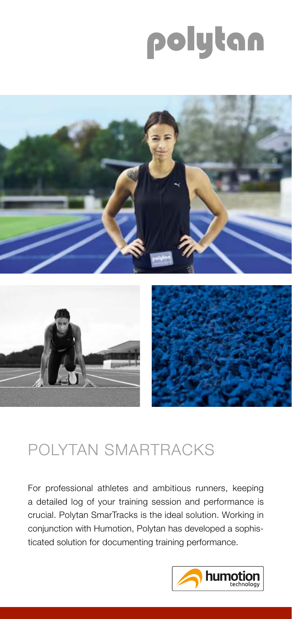# polytan



## POLYTAN SMARTRACKS

For professional athletes and ambitious runners, keeping a detailed log of your training session and performance is crucial. Polytan SmarTracks is the ideal solution. Working in conjunction with Humotion, Polytan has developed a sophisticated solution for documenting training performance.

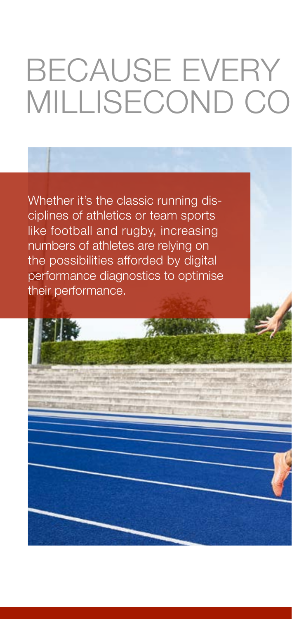## BECAUSE EVERY MILLISECOND CO

Whether it's the classic running disciplines of athletics or team sports like football and rugby, increasing numbers of athletes are relying on the possibilities afforded by digital performance diagnostics to optimise their performance.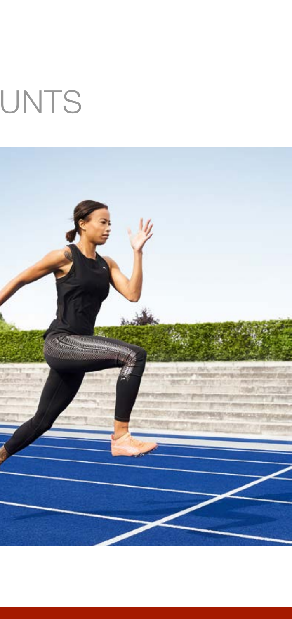# UNTS

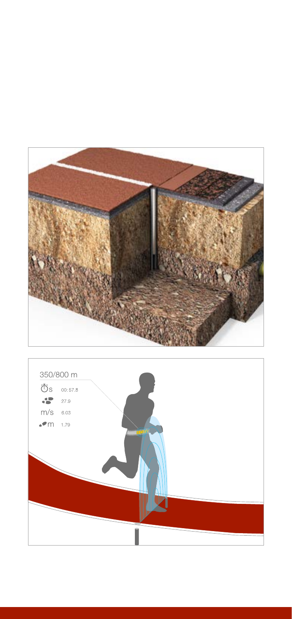

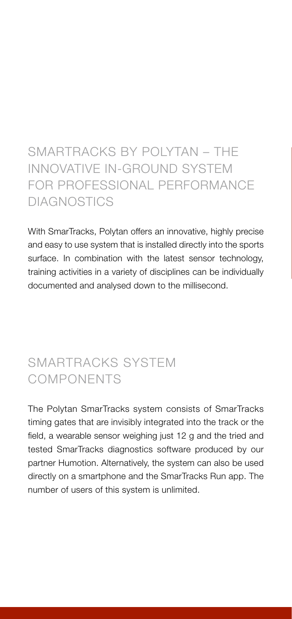## SMARTRACKS BY POLYTAN – THE INNOVATIVE IN-GROUND SYSTEM FOR PROFESSIONAL PERFORMANCE DIAGNOSTICS

With SmarTracks, Polytan offers an innovative, highly precise and easy to use system that is installed directly into the sports surface. In combination with the latest sensor technology, training activities in a variety of disciplines can be individually documented and analysed down to the millisecond.

## SMARTRACKS SYSTEM COMPONENTS

The Polytan SmarTracks system consists of SmarTracks timing gates that are invisibly integrated into the track or the field, a wearable sensor weighing just 12 g and the tried and tested SmarTracks diagnostics software produced by our partner Humotion. Alternatively, the system can also be used directly on a smartphone and the SmarTracks Run app. The number of users of this system is unlimited.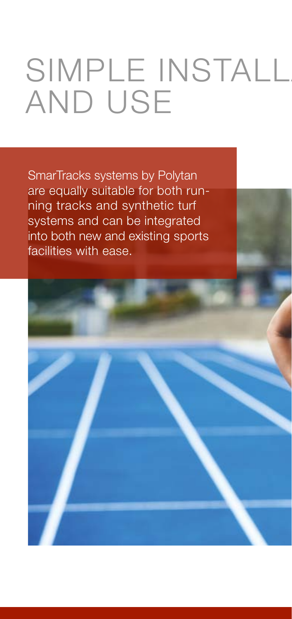## SIMPLE INSTALL AND USE

SmarTracks systems by Polytan are equally suitable for both running tracks and synthetic turf systems and can be integrated into both new and existing sports facilities with ease.

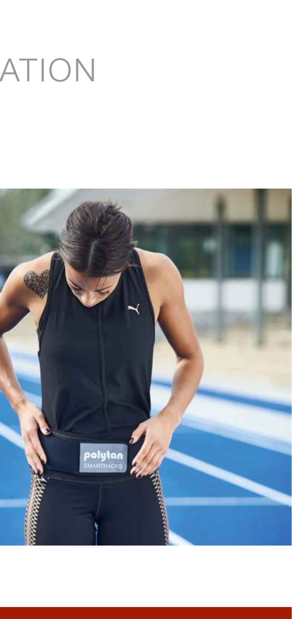# ATION

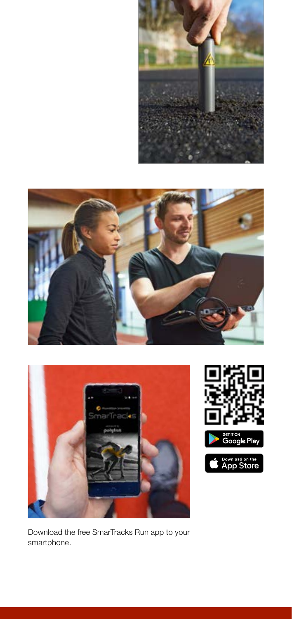







Download the free SmarTracks Run app to your smartphone.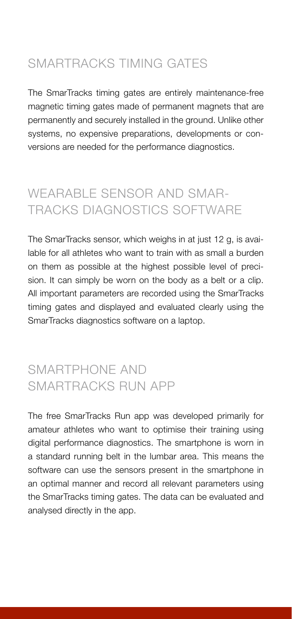### SMARTRACKS TIMING GATES

The SmarTracks timing gates are entirely maintenance-free magnetic timing gates made of permanent magnets that are permanently and securely installed in the ground. Unlike other systems, no expensive preparations, developments or conversions are needed for the performance diagnostics.

## WEARABLE SENSOR AND SMAR-TRACKS DIAGNOSTICS SOFTWARE

The SmarTracks sensor, which weighs in at just 12 g, is available for all athletes who want to train with as small a burden on them as possible at the highest possible level of precision. It can simply be worn on the body as a belt or a clip. All important parameters are recorded using the SmarTracks timing gates and displayed and evaluated clearly using the SmarTracks diagnostics software on a laptop.

## SMARTPHONE AND SMARTRACKS RUN APP

The free SmarTracks Run app was developed primarily for amateur athletes who want to optimise their training using digital performance diagnostics. The smartphone is worn in a standard running belt in the lumbar area. This means the software can use the sensors present in the smartphone in an optimal manner and record all relevant parameters using the SmarTracks timing gates. The data can be evaluated and analysed directly in the app.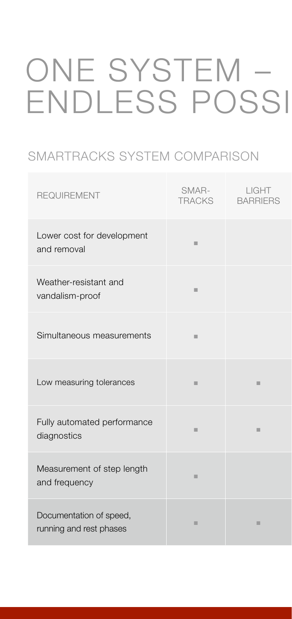## ONE SYSTEM – ENDLESS POSSI

### SMARTRACKS SYSTEM COMPARISON

| <b>REQUIREMENT</b>                                 | SMAR-<br><b>TRACKS</b> | LIGHT<br><b>BARRIERS</b> |
|----------------------------------------------------|------------------------|--------------------------|
| Lower cost for development<br>and removal          | ш                      |                          |
| Weather-resistant and<br>vandalism-proof           | ш                      |                          |
| Simultaneous measurements                          | ш                      |                          |
| Low measuring tolerances                           | ш                      | ш                        |
| Fully automated performance<br>diagnostics         | ш                      | ш                        |
| Measurement of step length<br>and frequency        | ш                      |                          |
| Documentation of speed,<br>running and rest phases | ш                      | ш                        |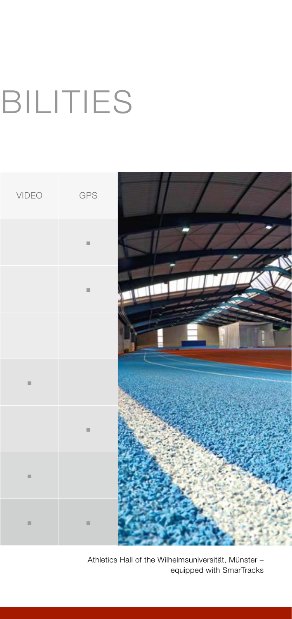## **BILITIES**



Athletics Hall of the Wilhelmsuniversität, Münster – equipped with SmarTracks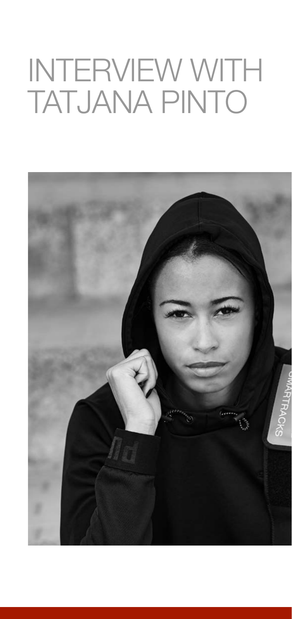## INTERVIEW WITH TATJANA PINTO

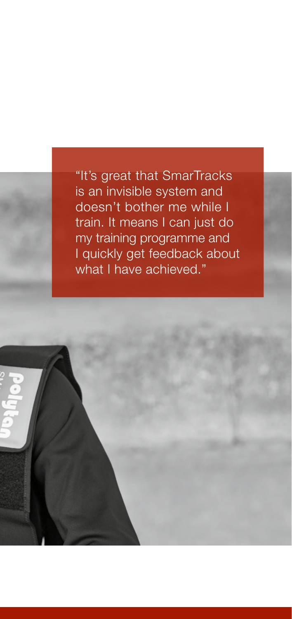"It's great that SmarTracks is an invisible system and doesn't bother me while I train. It means I can just do my training programme and I quickly get feedback about what I have achieved."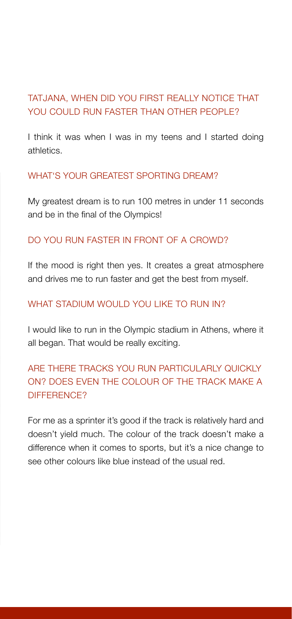#### TATJANA, WHEN DID YOU FIRST REALLY NOTICE THAT YOU COULD BUN FASTER THAN OTHER PEOPLE?

I think it was when I was in my teens and I started doing athletics.

#### WHAT'S YOUR GREATEST SPORTING DREAM?

My greatest dream is to run 100 metres in under 11 seconds and be in the final of the Olympics!

#### DO YOU RUN FASTER IN FRONT OF A CROWD?

If the mood is right then yes. It creates a great atmosphere and drives me to run faster and get the best from myself.

#### WHAT STADIUM WOULD YOU LIKE TO RUN IN?

I would like to run in the Olympic stadium in Athens, where it all began. That would be really exciting.

### ARE THERE TRACKS YOU RUN PARTICULARLY QUICKLY ON? DOES EVEN THE COLOUR OF THE TRACK MAKE A DIFFERENCE?

For me as a sprinter it's good if the track is relatively hard and doesn't yield much. The colour of the track doesn't make a difference when it comes to sports, but it's a nice change to see other colours like blue instead of the usual red.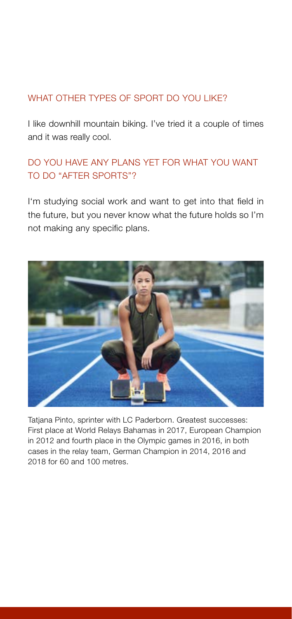#### WHAT OTHER TYPES OF SPORT DO YOU LIKE?

I like downhill mountain biking. I've tried it a couple of times and it was really cool.

### DO YOU HAVE ANY PLANS YET FOR WHAT YOU WANT TO DO "AFTER SPORTS"?

I'm studying social work and want to get into that field in the future, but you never know what the future holds so I'm not making any specific plans.



Tatiana Pinto, sprinter with LC Paderborn. Greatest successes: First place at World Relays Bahamas in 2017, European Champion in 2012 and fourth place in the Olympic games in 2016, in both cases in the relay team, German Champion in 2014, 2016 and 2018 for 60 and 100 metres.